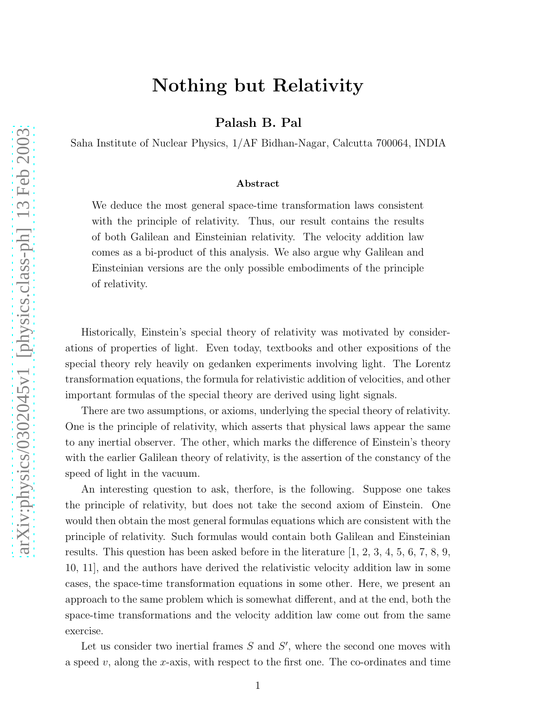## Nothing but Relativity

Palash B. Pal

Saha Institute of Nuclear Physics, 1/AF Bidhan-Nagar, Calcutta 700064, INDIA

## Abstract

We deduce the most general space-time transformation laws consistent with the principle of relativity. Thus, our result contains the results of both Galilean and Einsteinian relativity. The velocity addition law comes as a bi-product of this analysis. We also argue why Galilean and Einsteinian versions are the only possible embodiments of the principle of relativity.

Historically, Einstein's special theory of relativity was motivated by considerations of properties of light. Even today, textbooks and other expositions of the special theory rely heavily on gedanken experiments involving light. The Lorentz transformation equations, the formula for relativistic addition of velocities, and other important formulas of the special theory are derived using light signals.

There are two assumptions, or axioms, underlying the special theory of relativity. One is the principle of relativity, which asserts that physical laws appear the same to any inertial observer. The other, which marks the difference of Einstein's theory with the earlier Galilean theory of relativity, is the assertion of the constancy of the speed of light in the vacuum.

An interesting question to ask, therfore, is the following. Suppose one takes the principle of relativity, but does not take the second axiom of Einstein. One would then obtain the most general formulas equations which are consistent with the principle of relativity. Such formulas would contain both Galilean and Einsteinian results. This question has been asked before in the literature [1, 2, 3, 4, 5, 6, 7, 8, 9, 10, 11], and the authors have derived the relativistic velocity addition law in some cases, the space-time transformation equations in some other. Here, we present an approach to the same problem which is somewhat different, and at the end, both the space-time transformations and the velocity addition law come out from the same exercise.

Let us consider two inertial frames  $S$  and  $S'$ , where the second one moves with a speed  $v$ , along the x-axis, with respect to the first one. The co-ordinates and time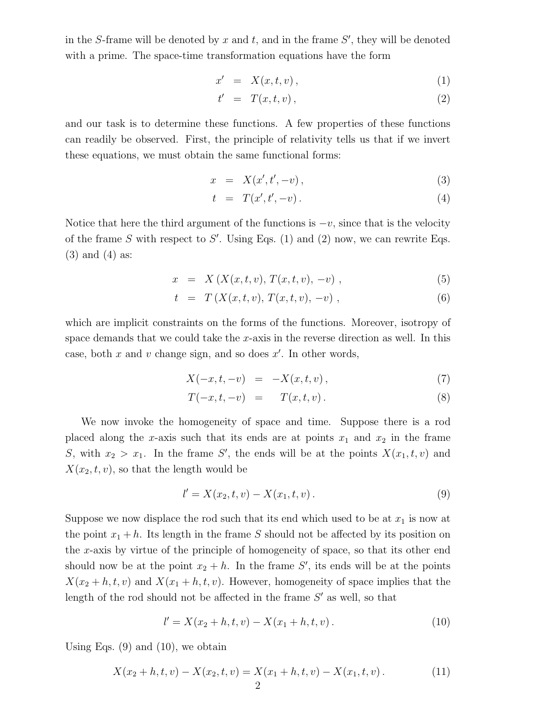in the S-frame will be denoted by  $x$  and  $t$ , and in the frame  $S'$ , they will be denoted with a prime. The space-time transformation equations have the form

$$
x' = X(x, t, v), \tag{1}
$$

$$
t' = T(x, t, v), \tag{2}
$$

and our task is to determine these functions. A few properties of these functions can readily be observed. First, the principle of relativity tells us that if we invert these equations, we must obtain the same functional forms:

$$
x = X(x', t', -v), \t\t(3)
$$

$$
t = T(x', t', -v) \,.
$$
 (4)

Notice that here the third argument of the functions is  $-v$ , since that is the velocity of the frame S with respect to S'. Using Eqs. (1) and (2) now, we can rewrite Eqs. (3) and (4) as:

$$
x = X(X(x, t, v), T(x, t, v), -v), \qquad (5)
$$

$$
t = T(X(x, t, v), T(x, t, v), -v), \qquad (6)
$$

which are implicit constraints on the forms of the functions. Moreover, isotropy of space demands that we could take the  $x$ -axis in the reverse direction as well. In this case, both  $x$  and  $v$  change sign, and so does  $x'$ . In other words,

$$
X(-x,t,-v) = -X(x,t,v), \t\t(7)
$$

$$
T(-x,t,-v) = T(x,t,v).
$$
 (8)

We now invoke the homogeneity of space and time. Suppose there is a rod placed along the x-axis such that its ends are at points  $x_1$  and  $x_2$  in the frame S, with  $x_2 > x_1$ . In the frame S', the ends will be at the points  $X(x_1, t, v)$  and  $X(x_2, t, v)$ , so that the length would be

$$
l' = X(x_2, t, v) - X(x_1, t, v).
$$
\n(9)

Suppose we now displace the rod such that its end which used to be at  $x_1$  is now at the point  $x_1 + h$ . Its length in the frame S should not be affected by its position on the x-axis by virtue of the principle of homogeneity of space, so that its other end should now be at the point  $x_2 + h$ . In the frame S', its ends will be at the points  $X(x_2 + h, t, v)$  and  $X(x_1 + h, t, v)$ . However, homogeneity of space implies that the length of the rod should not be affected in the frame  $S'$  as well, so that

$$
l' = X(x_2 + h, t, v) - X(x_1 + h, t, v).
$$
 (10)

Using Eqs.  $(9)$  and  $(10)$ , we obtain

$$
X(x_2 + h, t, v) - X(x_2, t, v) = X(x_1 + h, t, v) - X(x_1, t, v).
$$
\n(11)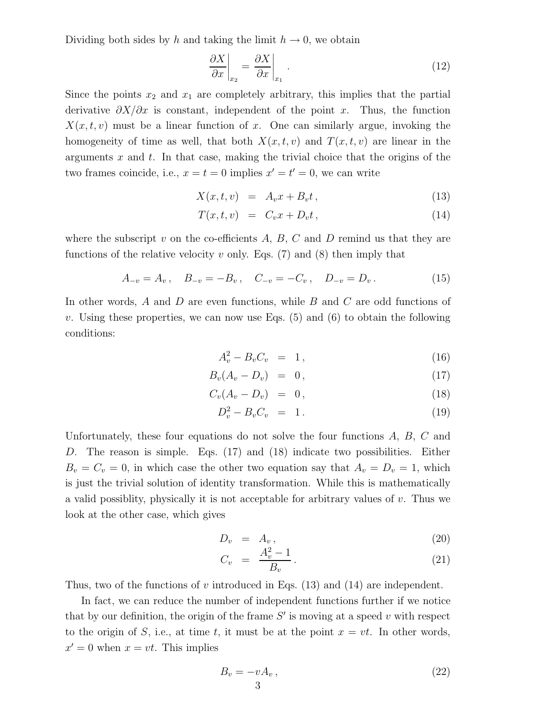Dividing both sides by h and taking the limit  $h \to 0$ , we obtain

$$
\left. \frac{\partial X}{\partial x} \right|_{x_2} = \left. \frac{\partial X}{\partial x} \right|_{x_1} . \tag{12}
$$

Since the points  $x_2$  and  $x_1$  are completely arbitrary, this implies that the partial derivative  $\partial X/\partial x$  is constant, independent of the point x. Thus, the function  $X(x, t, v)$  must be a linear function of x. One can similarly argue, invoking the homogeneity of time as well, that both  $X(x,t,v)$  and  $T(x,t,v)$  are linear in the arguments  $x$  and  $t$ . In that case, making the trivial choice that the origins of the two frames coincide, i.e.,  $x = t = 0$  implies  $x' = t' = 0$ , we can write

$$
X(x,t,v) = A_v x + B_v t, \qquad (13)
$$

$$
T(x,t,v) = C_v x + D_v t, \qquad (14)
$$

where the subscript  $v$  on the co-efficients  $A, B, C$  and  $D$  remind us that they are functions of the relative velocity v only. Eqs.  $(7)$  and  $(8)$  then imply that

$$
A_{-v} = A_v, \quad B_{-v} = -B_v, \quad C_{-v} = -C_v, \quad D_{-v} = D_v.
$$
 (15)

In other words, A and D are even functions, while B and C are odd functions of v. Using these properties, we can now use Eqs.  $(5)$  and  $(6)$  to obtain the following conditions:

$$
A_v^2 - B_v C_v = 1, \t\t(16)
$$

$$
B_v(A_v - D_v) = 0, \qquad (17)
$$

$$
C_v(A_v - D_v) = 0, \qquad (18)
$$

$$
D_v^2 - B_v C_v = 1.
$$
 (19)

Unfortunately, these four equations do not solve the four functions A, B, C and D. The reason is simple. Eqs. (17) and (18) indicate two possibilities. Either  $B_v = C_v = 0$ , in which case the other two equation say that  $A_v = D_v = 1$ , which is just the trivial solution of identity transformation. While this is mathematically a valid possiblity, physically it is not acceptable for arbitrary values of  $v$ . Thus we look at the other case, which gives

$$
D_v = A_v, \t\t(20)
$$

$$
C_v = \frac{A_v^2 - 1}{B_v}.
$$
\n(21)

Thus, two of the functions of v introduced in Eqs.  $(13)$  and  $(14)$  are independent.

In fact, we can reduce the number of independent functions further if we notice that by our definition, the origin of the frame  $S'$  is moving at a speed  $v$  with respect to the origin of S, i.e., at time t, it must be at the point  $x = vt$ . In other words,  $x' = 0$  when  $x = vt$ . This implies

$$
B_v = -vA_v, \t\t(22)
$$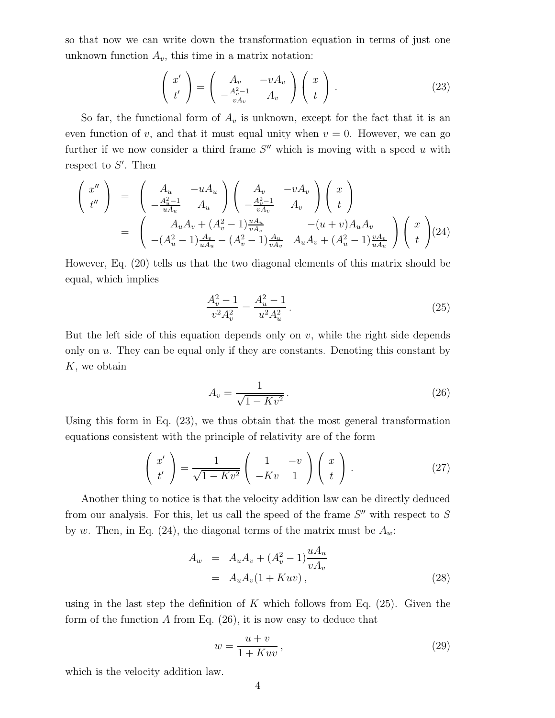so that now we can write down the transformation equation in terms of just one unknown function  $A_v$ , this time in a matrix notation:

$$
\begin{pmatrix} x' \\ t' \end{pmatrix} = \begin{pmatrix} A_v & -vA_v \\ -\frac{A_v^2 - 1}{vA_v} & A_v \end{pmatrix} \begin{pmatrix} x \\ t \end{pmatrix}.
$$
 (23)

So far, the functional form of  $A_v$  is unknown, except for the fact that it is an even function of v, and that it must equal unity when  $v = 0$ . However, we can go further if we now consider a third frame  $S''$  which is moving with a speed u with respect to  $S'$ . Then

$$
\begin{pmatrix}\nx'' \\
t''\n\end{pmatrix} = \begin{pmatrix}\nA_u & -uA_u \\
-\frac{A_u^2 - 1}{uA_u} & A_u\n\end{pmatrix} \begin{pmatrix}\nA_v & -vA_v \\
-\frac{A_v^2 - 1}{vA_v} & A_v\n\end{pmatrix} \begin{pmatrix}\nx \\
t\n\end{pmatrix}
$$
\n
$$
= \begin{pmatrix}\nA_u A_v + (A_v^2 - 1) \frac{uA_u}{vA_v} & -(u+v)A_u A_v \\
-(A_u^2 - 1) \frac{A_v}{uA_u} - (A_v^2 - 1) \frac{A_u}{vA_v} & A_u A_v + (A_u^2 - 1) \frac{vA_v}{uA_u}\n\end{pmatrix} \begin{pmatrix}\nx \\
t\n\end{pmatrix} (24)
$$

However, Eq. (20) tells us that the two diagonal elements of this matrix should be equal, which implies

$$
\frac{A_v^2 - 1}{v^2 A_v^2} = \frac{A_u^2 - 1}{u^2 A_u^2}.
$$
\n(25)

But the left side of this equation depends only on  $v$ , while the right side depends only on  $u$ . They can be equal only if they are constants. Denoting this constant by K, we obtain

$$
A_v = \frac{1}{\sqrt{1 - Kv^2}}.
$$
\n(26)

Using this form in Eq. (23), we thus obtain that the most general transformation equations consistent with the principle of relativity are of the form

$$
\begin{pmatrix} x' \\ t' \end{pmatrix} = \frac{1}{\sqrt{1 - Kv^2}} \begin{pmatrix} 1 & -v \\ -Kv & 1 \end{pmatrix} \begin{pmatrix} x \\ t \end{pmatrix} . \tag{27}
$$

Another thing to notice is that the velocity addition law can be directly deduced from our analysis. For this, let us call the speed of the frame  $S''$  with respect to  $S$ by w. Then, in Eq. (24), the diagonal terms of the matrix must be  $A_w$ .

$$
A_w = A_u A_v + (A_v^2 - 1) \frac{u A_u}{v A_v}
$$
  
=  $A_u A_v (1 + Kuv),$  (28)

using in the last step the definition of K which follows from Eq.  $(25)$ . Given the form of the function  $A$  from Eq. (26), it is now easy to deduce that

$$
w = \frac{u+v}{1+Kuv},\tag{29}
$$

which is the velocity addition law.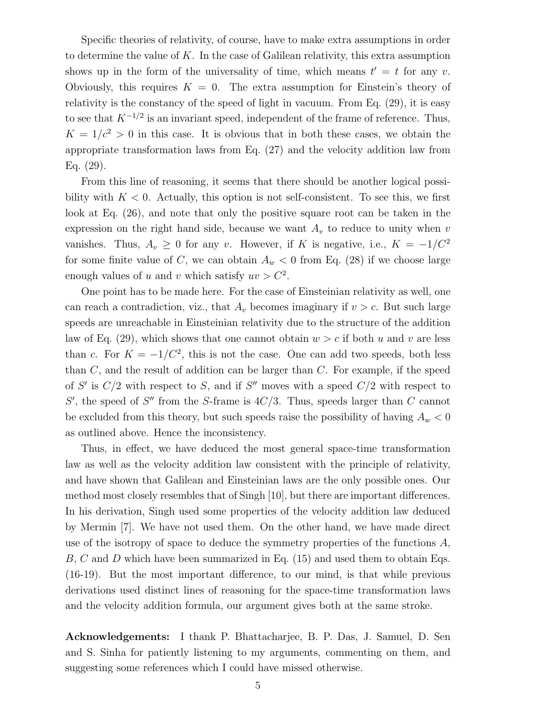Specific theories of relativity, of course, have to make extra assumptions in order to determine the value of K. In the case of Galilean relativity, this extra assumption shows up in the form of the universality of time, which means  $t' = t$  for any v. Obviously, this requires  $K = 0$ . The extra assumption for Einstein's theory of relativity is the constancy of the speed of light in vacuum. From Eq. (29), it is easy to see that  $K^{-1/2}$  is an invariant speed, independent of the frame of reference. Thus,  $K = 1/c^2 > 0$  in this case. It is obvious that in both these cases, we obtain the appropriate transformation laws from Eq. (27) and the velocity addition law from Eq. (29).

From this line of reasoning, it seems that there should be another logical possibility with  $K < 0$ . Actually, this option is not self-consistent. To see this, we first look at Eq. (26), and note that only the positive square root can be taken in the expression on the right hand side, because we want  $A<sub>v</sub>$  to reduce to unity when v vanishes. Thus,  $A_v \geq 0$  for any v. However, if K is negative, i.e.,  $K = -1/C^2$ for some finite value of C, we can obtain  $A_w < 0$  from Eq. (28) if we choose large enough values of u and v which satisfy  $uv > C^2$ .

One point has to be made here. For the case of Einsteinian relativity as well, one can reach a contradiction, viz., that  $A_v$  becomes imaginary if  $v > c$ . But such large speeds are unreachable in Einsteinian relativity due to the structure of the addition law of Eq. (29), which shows that one cannot obtain  $w > c$  if both u and v are less than c. For  $K = -1/C^2$ , this is not the case. One can add two speeds, both less than  $C$ , and the result of addition can be larger than  $C$ . For example, if the speed of S' is  $C/2$  with respect to S, and if S'' moves with a speed  $C/2$  with respect to S', the speed of S'' from the S-frame is  $4C/3$ . Thus, speeds larger than C cannot be excluded from this theory, but such speeds raise the possibility of having  $A_w < 0$ as outlined above. Hence the inconsistency.

Thus, in effect, we have deduced the most general space-time transformation law as well as the velocity addition law consistent with the principle of relativity, and have shown that Galilean and Einsteinian laws are the only possible ones. Our method most closely resembles that of Singh [10], but there are important differences. In his derivation, Singh used some properties of the velocity addition law deduced by Mermin [7]. We have not used them. On the other hand, we have made direct use of the isotropy of space to deduce the symmetry properties of the functions  $A$ , B, C and D which have been summarized in Eq. (15) and used them to obtain Eqs. (16-19). But the most important difference, to our mind, is that while previous derivations used distinct lines of reasoning for the space-time transformation laws and the velocity addition formula, our argument gives both at the same stroke.

Acknowledgements: I thank P. Bhattacharjee, B. P. Das, J. Samuel, D. Sen and S. Sinha for patiently listening to my arguments, commenting on them, and suggesting some references which I could have missed otherwise.